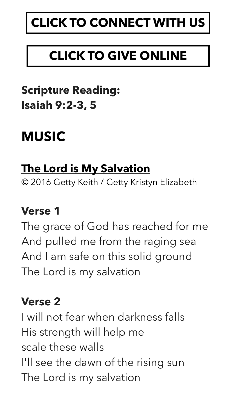# **[CLICK TO CONNECT WITH US](https://myfaithcommunity.churchcenter.com/people/forms/122560)**

# **[CLICK TO GIVE ONLINE](https://myfaithcommunity.churchcenter.com/giving)**

# **Scripture Reading: Isaiah 9:2-3, 5**

# **MUSIC**

# **The Lord is My Salvation**

© 2016 Getty Keith / Getty Kristyn Elizabeth

#### **Verse 1**

The grace of God has reached for me And pulled me from the raging sea And I am safe on this solid ground

#### The Lord is my salvation

#### **Verse 2**

I will not fear when darkness falls His strength will help me scale these walls I'll see the dawn of the rising sun The Lord is my salvation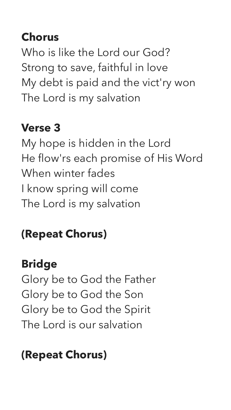# **Chorus**

Who is like the Lord our God? Strong to save, faithful in love My debt is paid and the vict'ry won The Lord is my salvation

#### **Verse 3**

My hope is hidden in the Lord He flow'rs each promise of His Word When winter fades I know spring will come The Lord is my salvation

# **(Repeat Chorus)**

#### **Bridge**

Glory be to God the Father Glory be to God the Son Glory be to God the Spirit The Lord is our salvation

#### **(Repeat Chorus)**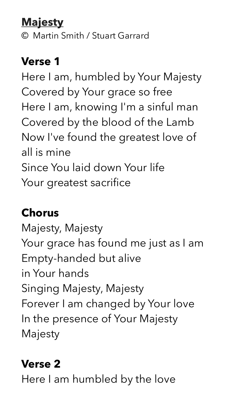## **Majesty**

© Martin Smith / Stuart Garrard

## **Verse 1**

Here I am, humbled by Your Majesty Covered by Your grace so free Here I am, knowing I'm a sinful man Covered by the blood of the Lamb Now I've found the greatest love of all is mine Since You laid down Your life Your greatest sacrifice

### **Chorus**

Majesty, Majesty Your grace has found me just as I am Empty-handed but alive

# in Your hands Singing Majesty, Majesty Forever I am changed by Your love In the presence of Your Majesty Majesty

# **Verse 2** Here I am humbled by the love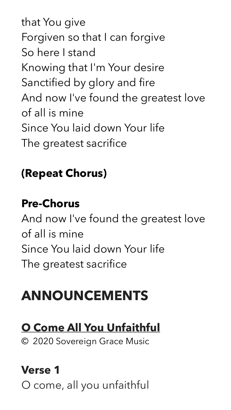that You give Forgiven so that I can forgive So here I stand Knowing that I'm Your desire Sanctified by glory and fire And now I've found the greatest love of all is mine Since You laid down Your life The greatest sacrifice

## **(Repeat Chorus)**

#### **Pre-Chorus**

And now I've found the greatest love of all is mine Since You laid down Your life The greatest sacrifice

# **ANNOUNCEMENTS**

#### **O Come All You Unfaithful**

© 2020 Sovereign Grace Music

### **Verse 1** O come, all you unfaithful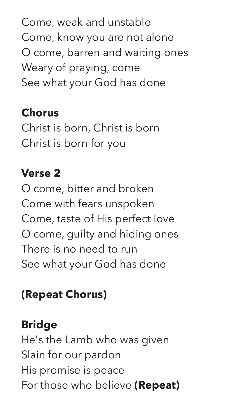Come, weak and unstable Come, know you are not alone O come, barren and waiting ones Weary of praying, come See what your God has done

#### **Chorus**

Christ is born, Christ is born Christ is born for you

#### **Verse 2**

O come, bitter and broken Come with fears unspoken Come, taste of His perfect love O come, guilty and hiding ones There is no need to run See what your God has done

### **(Repeat Chorus)**

## **Bridge**

He's the Lamb who was given Slain for our pardon His promise is peace For those who believe **(Repeat)**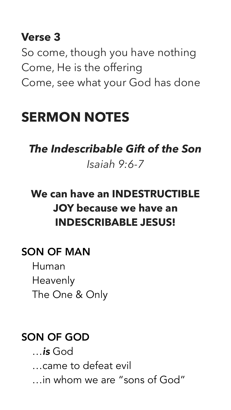#### **Verse 3**

So come, though you have nothing Come, He is the offering Come, see what your God has done

# **SERMON NOTES**

# *The Indescribable Gift of the Son Isaiah 9:6-7*

## **We can have an INDESTRUCTIBLE JOY because we have an INDESCRIBABLE JESUS!**

#### SON OF MAN

Human

Heavenly The One & Only

SON OF GOD …*is* God …came to defeat evil …in whom we are "sons of God"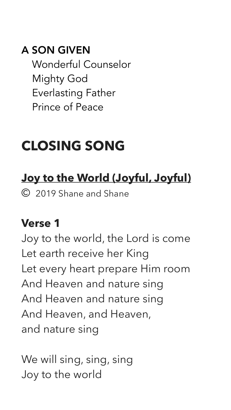#### A SON GIVEN

Wonderful Counselor Mighty God Everlasting Father Prince of Peace

# **CLOSING SONG**

# **Joy to the World (Joyful, Joyful)**

© 2019 Shane and Shane

### **Verse 1**

We will sing, sing, sing Joy to the world

Joy to the world, the Lord is come Let earth receive her King Let every heart prepare Him room And Heaven and nature sing And Heaven and nature sing And Heaven, and Heaven, and nature sing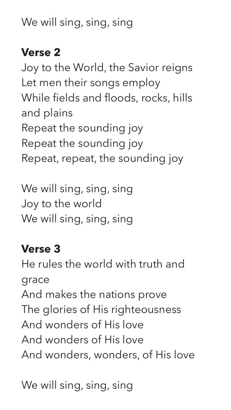We will sing, sing, sing

### **Verse 2**

Joy to the World, the Savior reigns Let men their songs employ While fields and floods, rocks, hills and plains Repeat the sounding joy Repeat the sounding joy Repeat, repeat, the sounding joy

We will sing, sing, sing Joy to the world We will sing, sing, sing

### **Verse 3**

He rules the world with truth and

grace And makes the nations prove The glories of His righteousness And wonders of His love And wonders of His love And wonders, wonders, of His love

We will sing, sing, sing